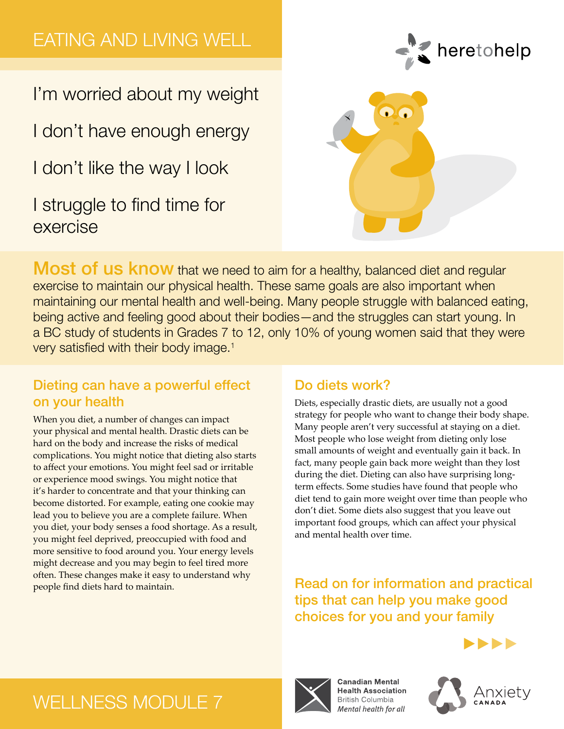# EATING AND LIVING WELL

I'm worried about my weight

I don't have enough energy

I don't like the way I look

I struggle to find time for exercise





Most of us know that we need to aim for a healthy, balanced diet and regular exercise to maintain our physical health. These same goals are also important when maintaining our mental health and well-being. Many people struggle with balanced eating, being active and feeling good about their bodies—and the struggles can start young. In a BC study of students in Grades 7 to 12, only 10% of young women said that they were very satisfied with their body image.<sup>1</sup>

### Dieting can have a powerful effect on your health

When you diet, a number of changes can impact your physical and mental health. Drastic diets can be hard on the body and increase the risks of medical complications. You might notice that dieting also starts to affect your emotions. You might feel sad or irritable or experience mood swings. You might notice that it's harder to concentrate and that your thinking can become distorted. For example, eating one cookie may lead you to believe you are a complete failure. When you diet, your body senses a food shortage. As a result, you might feel deprived, preoccupied with food and more sensitive to food around you. Your energy levels might decrease and you may begin to feel tired more often. These changes make it easy to understand why people find diets hard to maintain.

#### Do diets work?

Diets, especially drastic diets, are usually not a good strategy for people who want to change their body shape. Many people aren't very successful at staying on a diet. Most people who lose weight from dieting only lose small amounts of weight and eventually gain it back. In fact, many people gain back more weight than they lost during the diet. Dieting can also have surprising longterm effects. Some studies have found that people who diet tend to gain more weight over time than people who don't diet. Some diets also suggest that you leave out important food groups, which can affect your physical and mental health over time.

Read on for information and practical tips that can help you make good choices for you and your family





# WELLNESS MODULE 7



**Canadian Mental Health Association British Columbia** Mental health for all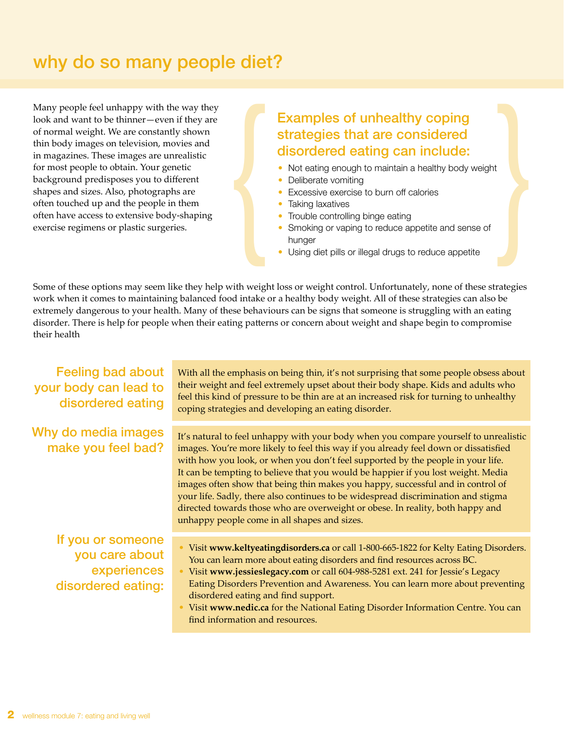# why do so many people diet?

Many people feel unhappy with the way they look and want to be thinner—even if they are of normal weight. We are constantly shown thin body images on television, movies and in magazines. These images are unrealistic for most people to obtain. Your genetic background predisposes you to different shapes and sizes. Also, photographs are often touched up and the people in them often have access to extensive body-shaping exercise regimens or plastic surgeries.

# Examples of unhealthy coping strategies that are considered disordered eating can include: **Examples of unhealthy coping<br>
Examples of unhealthy coping<br>
strategies that are considered<br>
disordered eating can include:<br>
• Not eating enough to maintain a healthy body weight<br>
• Deliberate vomiting<br>
• Excessive exercis**

- Not eating enough to maintain a healthy body weight
- Deliberate vomiting
- Excessive exercise to burn off calories
- Taking laxatives
- Trouble controlling binge eating
- Smoking or vaping to reduce appetite and sense of hunger
- 

Some of these options may seem like they help with weight loss or weight control. Unfortunately, none of these strategies work when it comes to maintaining balanced food intake or a healthy body weight. All of these strategies can also be extremely dangerous to your health. Many of these behaviours can be signs that someone is struggling with an eating disorder. There is help for people when their eating patterns or concern about weight and shape begin to compromise their health

| <b>Feeling bad about</b><br>your body can lead to<br>disordered eating   | With all the emphasis on being thin, it's not surprising that some people obsess about<br>their weight and feel extremely upset about their body shape. Kids and adults who<br>feel this kind of pressure to be thin are at an increased risk for turning to unhealthy<br>coping strategies and developing an eating disorder.                                                                                                                                                                                                                                                                                                                                 |
|--------------------------------------------------------------------------|----------------------------------------------------------------------------------------------------------------------------------------------------------------------------------------------------------------------------------------------------------------------------------------------------------------------------------------------------------------------------------------------------------------------------------------------------------------------------------------------------------------------------------------------------------------------------------------------------------------------------------------------------------------|
| Why do media images<br>make you feel bad?                                | It's natural to feel unhappy with your body when you compare yourself to unrealistic<br>images. You're more likely to feel this way if you already feel down or dissatisfied<br>with how you look, or when you don't feel supported by the people in your life.<br>It can be tempting to believe that you would be happier if you lost weight. Media<br>images often show that being thin makes you happy, successful and in control of<br>your life. Sadly, there also continues to be widespread discrimination and stigma<br>directed towards those who are overweight or obese. In reality, both happy and<br>unhappy people come in all shapes and sizes. |
| If you or someone<br>you care about<br>experiences<br>disordered eating: | • Visit www.keltyeatingdisorders.ca or call 1-800-665-1822 for Kelty Eating Disorders.<br>You can learn more about eating disorders and find resources across BC.<br>Visit www.jessieslegacy.com or call 604-988-5281 ext. 241 for Jessie's Legacy<br>Eating Disorders Prevention and Awareness. You can learn more about preventing<br>disordered eating and find support.<br>• Visit www.nedic.ca for the National Eating Disorder Information Centre. You can<br>find information and resources.                                                                                                                                                            |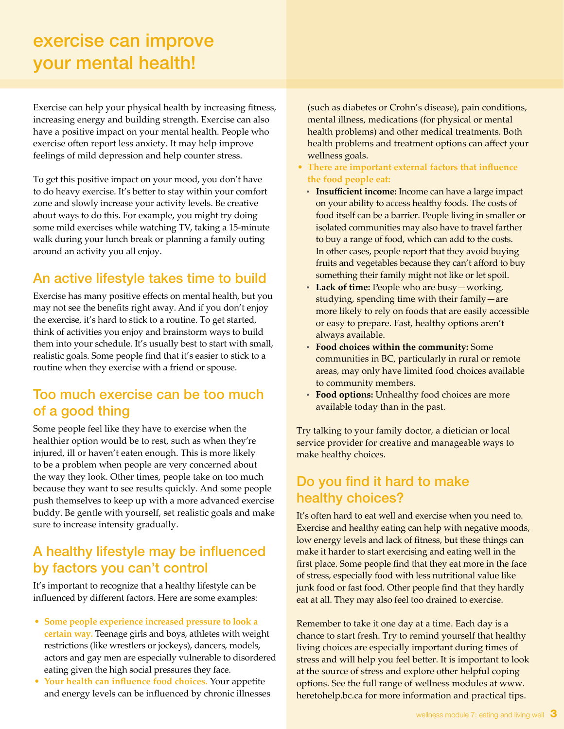# exercise can improve your mental health!

Exercise can help your physical health by increasing fitness, increasing energy and building strength. Exercise can also have a positive impact on your mental health. People who exercise often report less anxiety. It may help improve feelings of mild depression and help counter stress.

To get this positive impact on your mood, you don't have to do heavy exercise. It's better to stay within your comfort zone and slowly increase your activity levels. Be creative about ways to do this. For example, you might try doing some mild exercises while watching TV, taking a 15-minute walk during your lunch break or planning a family outing around an activity you all enjoy.

## An active lifestyle takes time to build

Exercise has many positive effects on mental health, but you may not see the benefits right away. And if you don't enjoy the exercise, it's hard to stick to a routine. To get started, think of activities you enjoy and brainstorm ways to build them into your schedule. It's usually best to start with small, realistic goals. Some people find that it's easier to stick to a routine when they exercise with a friend or spouse.

#### Too much exercise can be too much of a good thing

Some people feel like they have to exercise when the healthier option would be to rest, such as when they're injured, ill or haven't eaten enough. This is more likely to be a problem when people are very concerned about the way they look. Other times, people take on too much because they want to see results quickly. And some people push themselves to keep up with a more advanced exercise buddy. Be gentle with yourself, set realistic goals and make sure to increase intensity gradually.

#### A healthy lifestyle may be influenced by factors you can't control

It's important to recognize that a healthy lifestyle can be influenced by different factors. Here are some examples:

- **Some people experience increased pressure to look a certain way.** Teenage girls and boys, athletes with weight restrictions (like wrestlers or jockeys), dancers, models, actors and gay men are especially vulnerable to disordered eating given the high social pressures they face.
- **Your health can influence food choices.** Your appetite and energy levels can be influenced by chronic illnesses

(such as diabetes or Crohn's disease), pain conditions, mental illness, medications (for physical or mental health problems) and other medical treatments. Both health problems and treatment options can affect your wellness goals.

- **There are important external factors that influence the food people eat:**
	- **• Insufficient income:** Income can have a large impact on your ability to access healthy foods. The costs of food itself can be a barrier. People living in smaller or isolated communities may also have to travel farther to buy a range of food, which can add to the costs. In other cases, people report that they avoid buying fruits and vegetables because they can't afford to buy something their family might not like or let spoil.
	- **• Lack of time:** People who are busy—working, studying, spending time with their family—are more likely to rely on foods that are easily accessible or easy to prepare. Fast, healthy options aren't always available.
	- **• Food choices within the community:** Some communities in BC, particularly in rural or remote areas, may only have limited food choices available to community members.
	- **• Food options:** Unhealthy food choices are more available today than in the past.

Try talking to your family doctor, a dietician or local service provider for creative and manageable ways to make healthy choices.

### Do you find it hard to make healthy choices?

It's often hard to eat well and exercise when you need to. Exercise and healthy eating can help with negative moods, low energy levels and lack of fitness, but these things can make it harder to start exercising and eating well in the first place. Some people find that they eat more in the face of stress, especially food with less nutritional value like junk food or fast food. Other people find that they hardly eat at all. They may also feel too drained to exercise.

Remember to take it one day at a time. Each day is a chance to start fresh. Try to remind yourself that healthy living choices are especially important during times of stress and will help you feel better. It is important to look at the source of stress and explore other helpful coping options. See the full range of wellness modules at www. heretohelp.bc.ca for more information and practical tips.